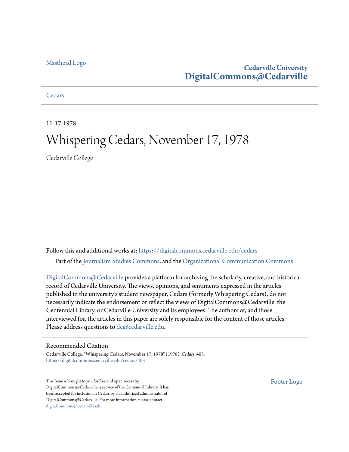#### [Masthead Logo](http://www.cedarville.edu/?utm_source=digitalcommons.cedarville.edu%2Fcedars%2F403&utm_medium=PDF&utm_campaign=PDFCoverPages)

#### **Cedarville University [DigitalCommons@Cedarville](https://digitalcommons.cedarville.edu?utm_source=digitalcommons.cedarville.edu%2Fcedars%2F403&utm_medium=PDF&utm_campaign=PDFCoverPages)**

**[Cedars](https://digitalcommons.cedarville.edu/cedars?utm_source=digitalcommons.cedarville.edu%2Fcedars%2F403&utm_medium=PDF&utm_campaign=PDFCoverPages)** 

11-17-1978

#### Whispering Cedars, November 17, 1978

Cedarville College

Follow this and additional works at: [https://digitalcommons.cedarville.edu/cedars](https://digitalcommons.cedarville.edu/cedars?utm_source=digitalcommons.cedarville.edu%2Fcedars%2F403&utm_medium=PDF&utm_campaign=PDFCoverPages) Part of the [Journalism Studies Commons](http://network.bepress.com/hgg/discipline/333?utm_source=digitalcommons.cedarville.edu%2Fcedars%2F403&utm_medium=PDF&utm_campaign=PDFCoverPages), and the [Organizational Communication Commons](http://network.bepress.com/hgg/discipline/335?utm_source=digitalcommons.cedarville.edu%2Fcedars%2F403&utm_medium=PDF&utm_campaign=PDFCoverPages)

[DigitalCommons@Cedarville](http://digitalcommons.cedarville.edu/) provides a platform for archiving the scholarly, creative, and historical record of Cedarville University. The views, opinions, and sentiments expressed in the articles published in the university's student newspaper, Cedars (formerly Whispering Cedars), do not necessarily indicate the endorsement or reflect the views of DigitalCommons@Cedarville, the Centennial Library, or Cedarville University and its employees. The authors of, and those interviewed for, the articles in this paper are solely responsible for the content of those articles. Please address questions to [dc@cedarville.edu.](mailto:dc@cedarville.edu)

#### Recommended Citation

Cedarville College, "Whispering Cedars, November 17, 1978" (1978). *Cedars*. 403. [https://digitalcommons.cedarville.edu/cedars/403](https://digitalcommons.cedarville.edu/cedars/403?utm_source=digitalcommons.cedarville.edu%2Fcedars%2F403&utm_medium=PDF&utm_campaign=PDFCoverPages)

This Issue is brought to you for free and open access by DigitalCommons@Cedarville, a service of the Centennial Library. It has been accepted for inclusion in Cedars by an authorized administrator of DigitalCommons@Cedarville. For more information, please contact [digitalcommons@cedarville.edu](mailto:digitalcommons@cedarville.edu).

[Footer Logo](http://www.cedarville.edu/Academics/Library.aspx?utm_source=digitalcommons.cedarville.edu%2Fcedars%2F403&utm_medium=PDF&utm_campaign=PDFCoverPages)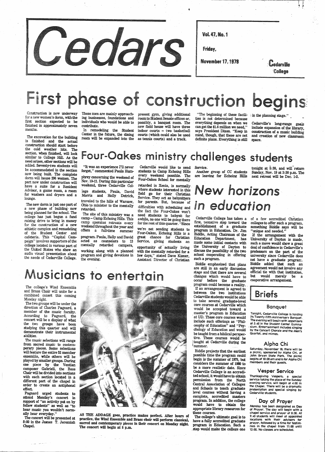Construction is now underway for a new women's dorm, with the first section expected to be finished in approximately seven months;

The excavation for the building is finished and the actual construction should start before the cold weather hits. The section, when finished, will look similar to College Hill. As the need arises, other sections will be added. Seventy-two students will be accommodated in the section now being built. The complete dorm will house 296 women. The part now under construction will have a suite for a Resident Advisor, a game room, a room for washers and dryers and a lounge.

The new dorm is just one part of <sup>a</sup>new phase of building· now being planned for the school. The college has just begun a fund raising drive to bring in money for the construction of a new athletic complex and remodeling of the Student Center and cafeteria. This "Capital Campaign" involves supporters of the college located in various part of the United States who show an audio visual presentation about the needs of Cedarville College.

"The beginning of these facili- in the planning stage." ties is not determined because everything depends on when we can get the \$1.6 million we need," says President Dixon. "Keep in . mind, though, that these are not definite plans. Everything is still

These men are mainly, approach-present gym, giving additional ing businesses, foundations and individuals who would be able to contribute.

program. Paula, Holly and David acted as counselors to 13 mentally retarded campers, working along with a planned· program and giving devotions in the evening.

 In remodeling the Student Center in the future, the dining room will be expanded into the as tennis courts) and a track.

room to Student Senate offices or, possibly, a banquet room. The new field house will have three indoor courts - two basketball courts (which could also be used



| <b>November 17, 1978</b> | <b>Uedarville</b><br><b>College</b> |
|--------------------------|-------------------------------------|
| Friday,                  |                                     |
| <b>Vol. 47, No. 1</b>    |                                     |

# truction begi

tonight at  $5:30$ , and will return Sunday, Nov. 19 at 3:30 p.m. The next retreat will be Dec. 1-3.

## New horizons in education

Cedarville's long-range goals include expansion of.the library, construction of a music building and creation of new classroom space.

### Four-Oakes ministry challenges students

"It was an experience I'll never forget," commented Paula Hum-

phrey concerning the weekend of Nov.10-12. During this particular weekend, three Cedarville Col-

lege students, Paula, David Morris and Holly Detrick, traveled to the hills of Warsaw, Ohio to minister to the mentally retarded.

The site of this ministry was a camp - Camp Echoing Hills. This<br>camp operates retreats every weekend throughout the year and offers a full-time summer

Cedarville would like to send students to Camp Echoing Hills every weekend possible. The Four-Oakes School for mentally

retarded in Xenia, is normally. where students interested in this field go for their Christian Service. They act as babysitters for parents. But, because' of difficulties with scheduling and the fact the Four-Oakes won't need students to babysit for awhile, no one will be going there for the rest of this quarter. "Since

we're not sending students to Four-Oakes, Echoing Hills is a great chance for Christian Service, giving students an

opportunity of actually living with the mentally retarded for a few days," stated Dave Kisner, Assistant Director of Christian

Service.

Another group of CC students are leaving for Echoing Hills

> Saturday, November 18, there will be a picnic, sponsored

## sicians to enterta

Cedarville College has taken a first, tentative step toward the establishment of a graduate program in Education. Dr. Jim Biddle, Acting Chairman of the Education Department, has made some initial contacts with the University of Dayton to discuss the Possibility of the two school cooperating in offering such a program.

of a few accredited Christian colleges to offer such a program, something Biddle says will be "unique and needed."

Monday has been designated as Day of Prayer. The day will begin with <sup>a</sup> chapel service and prayer at 8:30. At *9:45* students will meet at appointed locations with their advisors for prayer, followed by a time for testimnies in the chapel from 11:00 until 12:00. No classes are scheduled.

If the arrangement with the University of Dayton is made, such a move would show a great deal of confidence in Cedarville's professors on the part of the university since Cedarville does not have a graduate program. Biddle added that such an agreement would not involve any official tie with that institution, but would merely be <sup>a</sup> cooperative arrangement.

The college's Wind Ensemble and Brass Choir will unite for a combined conert this coming Monday night.

The two groups will be under the direction of Charles Pagnard, a member of the music faculty. According to Pagnard, the concert will be a display of what the two groups have been studying this quarter and will demonstrate their instrumental abilities.

Biddle emphasized that plans are still in an early discussion stage and that there are several changes which would have to occur before the graduate coope<br>
program could become a reality.<br>
If an arrangement is agreed to<br>
between the two institutions program could become a reality.<br>If an arrangement is agreed to between the two institutions Cedarville students would be able to take several graduate-level core courses at Cedarville which would be accepted toward a master's program in Education at UD. These core courses would include such offerings as "Philosophy. of Education" and "Psychology of Education and would be taught from a biblical perspective. These courses would be taught at Cedarville during the · summer. \_\_\_ \_

The music selections will range from sacred music to contemporary pieces. Some selections will feature the entire 52 member ensemble, while others will be <sup>p</sup>layed by smaller groups. During one piece by the Ventian composer Gabriell, the Bass Chair will be divided into sections with each section located in a different part of the chapel in order to create an antiphonal effect. Pagnard urged students to attend Monday's concert in support of "an activity put on by fellow students" as well as ''to hear music you wouldn't normally hear everyday."



The concert will be presented at 8:00 in the James T. Jeremiah Chapel.

والمتحدث السراري

AS THE ADDAGE goes, practice makes perfect. After hours of practice, the Wind Ensemble and Brass choir will perform classical, sacred and comtemporary pieces in their concert on Monday night. The concert will begin at 8 p.m.

### Briefs

\_

Biddle projects that the earliest possible time the program could begin is the summer of 1979, but considers the summer of 1980 to be a more realistic date. Since Cedarville College is an accredited school, it would have to obtain permission from the North Central Association of Colleges and Schools to teach graduate level courses without having a complete, accredited masters program. In addition, the college would have to obtain the appropriate library resources for these courses. The college's ultimate goal is to have a fully accredited graduate program in Education. Such a . step would make the college one

#### Banquet

Tonight, Cedarville College is holding its Twenty-fifth Anniversary Banquet. The evening will begin with appetizers at *5:45* in the Student Center Gymna- . sium. Entertainment includes singing by the Concert Chorale and the Men's Quartet, and mimes.

#### Alpha Chi

John Bryan State Park. The picnic begins at 10:00amandisfor Alpha Chi members and their guests.

#### Vesper Service

Thanksgiving Vespers, a special service taking the place of the Sunday evening service, will begin at 4:00 in the Chapel. There will be a dramatic presentation and special singing by Cedarville students.

#### Day of Prayer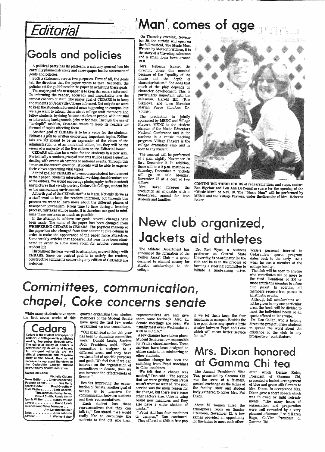## *Editorial*

A political party has its platform, a military general has his carefully planned strategy and a newspaper has its statement of goals and policies.<br>Such a statement serves two purposes. First of all, the goals

tell the direction that the paper wants to take. Secondly, the policies set the guidelines for the paper in achieving these goals.

### Goals and policies

The major goal of a newspaper is to keep its readers informed. In informing the reader, accuracy and impartiality are the the students of Cedarville College informed. Not only do we want to keep the students informed of news happening on campus, but we also want to inform them about college staff members and fellow students by doing feature articles on people with unusual or interesting backgrounds, jobs or hobbies. Through the use of "in-depth" articles, CEDARS wants to keep its readers informed of topics affecting them.

Another goal of CEDARS is to be a voice for the students. Editorials  $\vec{p}$ fill be written concerning important topics. Editorials are not meant to be an expression of the views of the administration or of an individual editor, but they will be the views of a majority of the five editors on the Editorial Board.<br>CEDARS will also be a voice for the students in a new way.

Periodically a random group of students will be asked a question<br>dealing with events on campus or national events. Through this<br>"man-on-the-street" question, students will be able to express<br>their views concerning vital to

In the attempt to achieve our goals, several changes have been made. The name of the paper has been changed from WHISPERING CEDARS to CEDARS. The physical makeup of the paper has also changed from four column to five column in order to make the appearance of the paper more attractive. Some weekly articles that appeared last year have been eliminated in order to allow more room for articles concerning student life.

<sup>A</sup>third goal for CEDARS is to encourage student involvement in their paper. Students interested in working should contact one of the editors. We would encourage photography buffs to submit any pictures that vividly portray Cedarville College, student life or the surrounding environment.

A fourth goal of the CEDAR staff is to learn. Not only do we as a staff want to keep the readers informed, but through this process we want to learn more about the different phases of newspaper journalism. From time to time during a learning process, mistakes will be made. It is therefore our goal to mini mize these mistakes as much as possible.

Throughout the year we will be attempting several things with CEDARS. Since our central goal is to satisfy the readers, constructive comments concerning any edition of CEDARS are welcome.

## 'Man' comes of age

While many students have spent the first seven weeks of this



Cedars is the student newspaper of Cedarville College and is published weekly, September through May. The editorial policy of Cedars is determined by its editorial board. All unsigned Pditorials are the

**COMCE**<br> **COMCE**<br> **COMCE**<br> **EALT AND THE COMPONER COMPONER COMPONER COMPONER COMPONER THE structure of the Student Senate of the Student Senate of the Student side of the Student side of the stress of and goals. We feel th** 



CONTINUING THEIR HOURS of rehearsing lines and steps, seniors<br>Ron Bigelow and Lou Ann DeYoung prepare for the opening of the<br>"Music Man" on Nov. 30. The "Music Man" will be performed by<br>MENC and the Village Players, under Baker.

## Jackets aid athletes club organized,

Wyse's personal interest in Cedarville's sports program dates back to the early 1960's when he was a member of the college faculty.

official expression and responsibility of this board; they do not necessarily represent the views of the Cedarville College student body, faculty or administration.

## Committees, communication, rns *senate*

Managing Editor ......•...

Michelle Cleland News Editor ...• Cindy Mannering Feature Editor ........ Sue Felty Sports Editor •.... Fred Greetham Staff Writers . . . . . . Beth Beckett, Tim Johnson, Becky Jones, Robert Smith, Ronda Smith Sports Writer ...... Randy Wilson layout ...•......... David Lewis Business and Sales Manager .... Jim Leightenheimer Sales ••.....•..•.. Julia Johnson Advisor .....•... J. Wesley Baker ~

quarter organizing their studies, representatives are and give if we let them keep the four sports offered at Cedarville.<br>members of the Student Senate them some feedback. Also, all machines on campus. Besides the Dr. Don Senate meetings are open. We usually meet every Wednesday at 6:00 in SC 105."

On Thursday evening, November 30, the curtain will open on the fall musical, The Music Man. Written by Meredith Willson, it is the story of a traveling salesman and a small Iowa town around 1900.

Mrs. Rebecca Baker, the director, chose this musical because of the "quality of the music and the depth of characterization." She adds that much of the play depends on character development. This is particularly important with the salesman, Harold Hill (Ron Bigelow), and town librarian Marian Paroo (LouAnn De-Young(.

The production is jointly sponsored by MENC and Village Players. MENC is the student chapter of the Music Educators National Conference and is for students in a music teaching program. Village Players is the college dramatics club and is open to any student.

The musical will be performed at 8 p.m. nightly November 30 thru December 2. In addition, there will be a 2 p.m. matinee on Saturday, December 2. Tickets will go on sale Monday, November 27 at a cost of two dollars.

Mrs. Baker foresees the production as enjoyable with a wide-spread appeal for both students and families.

The Athletic Department has announced the formation of the Yellow Jacket Club - a group designed to channel money for athletic scholarships to the college.

Dr. Rod Wyse, a business professor at Central State University, is co-ordinator for the club and he is in the process of forming a steering committee to initiate a fund-raising drive.

The club will be open to anyone who contributes \$25 or more to the fund. Donations of \$50 or more entitle the member to a free club jacket. In addition, all members receive free passes to all athletic events.

Although full scholarships will not be given in any one particular area, the funds will be divided to meet the individual needs of all

Afew changes have taken place. Student Senate is now responsible for Friday chapel services. These services have been designed to utilize students in ministering to other students.

Another change has been the switching from Pepsi machines to' Coke machines.

"We felt that a change was needed," Don said. "The service that we were getting from Pepsi wasn't what we wanted. The poor service was the main reason for the change, but there were some other factors also. Coke is using brand new machines and they also have a wider slection of drinks."

"Pepsi still has four machines on campus," Don continued. "They offered us \$500 in free pop if we let them keep the four machines on campus. Besides the free pop, there may spark a little rivalry between Pepsi and Coke which will mean better service for us."

### rs. Dixon honored at Gamma Chi tea

Dr. Don Callan, who is helping direct the project, urges students to spread the word about the existence . of the club to any prospective contributors.

The Annual President's Wife after which Denise Kelso, Tea, presented by Gamma Chi was the scene of a friendly, genteel exchange as the ladies of the faculty, staff and student body gathered to honor Mrs. Pat Dixon gave a short speech which Dixon.

About 50 women filled the atmosphere room on Sunday afternoon, November 12. A few games provided an opportunity for the ladies to meet each other,

President of Gamma Chi, presented a basket arrangement of blue and green silk flowers to Mrs. Dixon. In acceptance Mrs. was followed by light refreshments. "The many hours of organization and preparation were well rewarded by a very pleasant afternoon," said Karen Haga, Co-Vice President of Gamma Chi.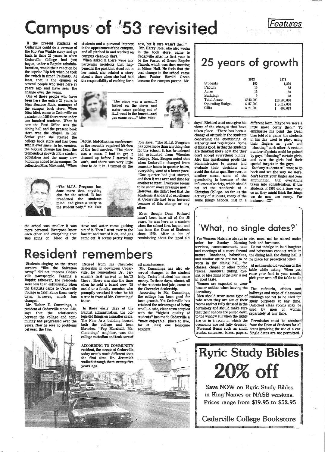# Campus of '53 revisited Features



students and a personal interest now, but it sure wasn't then." in the appearance of the campus, and all pitched in and worked on campus clean-up days."

When asked if there were any particular incidents that happened in the past that stood out in her mind, she related a story about a time when she had had the responsibility of cooking for a became the campus pastor. Mr.

Mr. Harry Cole, who also works in the book store, came to Cedarville after its first year to be the Pastor of Grace Baptist Church, which was then meeting in Milner Hall. He feels that the best change in the school came when Pastor Harold Green

"The place was a mess...I turned on the stove and water. came gushing out of it...I went to the faucet...and gas came out..." Miss Mick



One of those people who have been here the entire 25 years is Miss Bernice Mick, manager of the campus book store. When Miss Mick came to Cedarville as a student in 1953·there were under one hundred students. What is now the. Post Office was the dining hall and the present book store was the chapel. In her Senior year she started the college book store and has been with it ever since. In her opinion, the biggest change has been the tremendous growth of the student population and the many new

buildings added to the campus. In work, and there was very little reflection Miss Mick said, "When time to do it in. I turned on the Baptist Mid-Missions conference in the recently repaired kitchen of the food service. "The place was a mess. I had to get it cleaned up before I started to

> "The M.I.S. Program has done more than anything else for the school. It has broadened the students mind...and given a unity to the student body." Mr. Cole

the school was smaller it was more personal. Everyone knew each other and everything that

> Mr. Cummings has also observed changes in the student body. Today's student has more money. In those days, almost all of the students had jobs, some at the Chevrolet dealership.

stove and water came gushing out of it. Then I went over to the faucett and turned it on, and gas

was going on. More of the came out. It seems pretty fwmy

|                         | 1953            | 1978                          |
|-------------------------|-----------------|-------------------------------|
| <b>Students</b>         | 105             | 1.250                         |
| Faculty                 | 10              | 68<br>$\sim 100$ km s $^{-1}$ |
| Acres                   | 15              | 180                           |
| <b>Buildings</b>        | 9               | -28                           |
| <b>Total Assets</b>     | \$342,000<br>m. | \$10,500,000                  |
| <b>Operating Budget</b> | \$57,000        | \$5,017,000                   |
| Gifts                   | \$21,000        | 606.683<br>S                  |

days', Rickard went on to give his views of the changes that have taken place. "There has been a change of attitude in the students concerning the questioning of authority and regulations. Some of this is good, in that the students are thinking more now and they don't accept everything blindly. Also this questioning prods the administration to assess and evaluate their decisions and avoid the status quo. However, in another sense, some of the questioning is because of the influence of society, which should not set the standards at a activity of students, many of the same things happen, just in a instance...CZ?

students singing on the street corners "like the Salvation Army" did not impress Cedarville townspeople. Fearing a Baptist takeover, the residents were less than enthusiastic when the Baptists came to Cedarville College in 1953. Since those early days, however, much has changed.

Mr. Walter E. Cummings, a resident of Cedarville since 1930, says that the relationship . between the college and community has progressed over the years. Now he sees no problems between the two.

Retired from his Chevrolet dealership in downtown Cedarville, he remembers Dr. Jeremiah's first arrival in his'53 Chevy. There was also the time when he sold a brand new '55 model to a faculty member who promptly wrecked it when he hit <sup>a</sup>tree in front of Mr. Cummings' house.

For Women: Hats are always in etc. must not be stored under order for Sunday Morning beds and furniture. nature. Bandanas, babushkas, the dining hall. the dining hall is and similar attire are not to be no place for proactical jokes.<br>worn in the dining hall, for worn in the dining hall,  $\frac{1}{2}$  At no time should you lean on the classes, chapel or other public table while eating. When you-<br>places. Unnatural tinting, dye-roise your food to your mouth mg, or bleaching of the hair is not raise your tood to your mouth,  $\frac{m}{2}$  and taste.  $\frac{m}{2}$  are  $\frac{m}{2}$  bick your arm off the tal

in good taste.  $\frac{p_{10}}{p_{11}}$  women are expected to wear it. hose or anklets when leaving the The cafeteria, offices and dormitory.

In those early days of the Baptist adminstration, the college did things on a smaller scale. The Fine Arts building. housed both the college and town libraries. "Pop Marshall, Mr. Cummings' neighbor, was the college custodian and took care of

ACCORDING TO COMMUNITY resident, the streets of Cedarville

dormitory. hallways and steps of classroom Men should wear some type of buildings are not to be used for rooms and not fully dressed in the Unlocked class rooms may be dormitory and should make sure used by men or women



Cedarville College Bookstore

robe when they are out of their study purposes at any time. that their shades are pulled down separately at any time. to the window sill when the lights are on in a room in which the Permission must be obtained

Cole says, "The M.I.S. Program has done more than anything else for the school. It has broadened had graduated from Wheaton College. Mrs. Bergen noted that when Cedarville changed from semester hours to quarter hours, everything went at a faster pace. "One quarter had just started, and then it was over and time for another to start. Everyone seems to be under more pressure now." However, she didn't feel that the academic standard of excellence at Cedarville had been lowered because of this change or any other.

Even though· Dean Rickard hasn't been here all of the 25 years, he was here as a student when the school first began, and has been the Dean of Students since 1970. After a bit of reminiscing about the 'good old

## **Resident remembers**

all maintenance.

According to Mr. Cummings, the college has been good for town growth. Yet Cedarville has retained the advantages of being small. A safe, clean town coupled with the "highest quality of students" has made Cedarville a "most enjoyable" place to live, for at least one long-time resident.

### 25 years of growth

different form. Maybe we were a little more corny then." To emphasize his point the Dean then told of a 'game' the students in his day used to play, using their fingers as 'guns' and "shooting" each other. A certain number of points could be gained by guys "shooting" certain girls, and even the girls had their special targets in the guys.

Christian College. As far as the on us, they might think the things So if any students still want to go back and see the way we were, don't forget your finger and your ammunition. But everything taken into consideration, if the students of 1993 did a time warp we do now are corny. For

## 'What, no single dates?'

services, commencement, teas Do not indulge in loud laughter and meetings of a more formal and boisterous conduct while in

 occupants are not fully dressed. from the Dean of Students for all Personal items such as small dates involving the use of a car. trunks, suitcases, boxes, papers, Single dates are not permitted.





ai1e1=::==1•BEiiiiii==aee1=::==11se1=::==111aae:=:s•aEi:ii:iii!iiae1~-